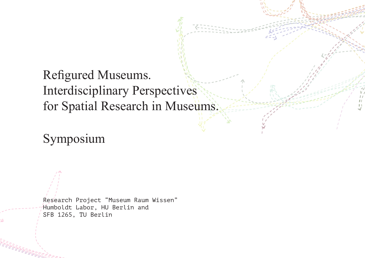# Refigured Museums. Interdisciplinary Perspectives for Spatial Research in Museums.

Symposium

Research Project "Museum Raum Wissen" Humboldt Labor, HU Berlin and SFB 1265, TU Berlin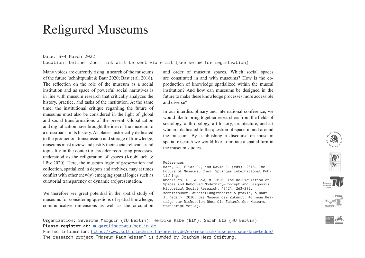#### Further Information: https://www.kulturtechnik.hu-berlin.de/en/research/museum-space-knowledge/ The research project "Museum Raum Wissen" is funded by Joachim Herz Stiftung.

Organization: Séverine Marguin (TU Berlin), Henrike Rabe (BIM), Sarah Etz (HU Berlin)

# Refigured Museums

#### Date: 3–4 March 2022

Location: Online, Zoom link will be sent via email (see below for registration)

Many voices are currently rising in search of the museums of the future (schnittpunkt & Baur 2020; Bast et al. 2018). The reflection on the role of the museum as a social institution and as space of powerful social narratives is in line with museum research that critically analyzes the history, practice, and tasks of the institution. At the same time, the institutional critique regarding the future of museums must also be considered in the light of global and social transformations of the present. Globalization and digitalization have brought the idea of the museum to a crossroads in its history. As places historically dedicated to the production, transmission and storage of knowledge, museums must review and justify their social relevance and topicality in the context of broader reordering processes, understood as the refiguration of spaces (Knoblauch  $\&$ Löw 2020). Here, the museum logic of preservation and collection, spatialized in depots and archives, may at times conflict with other (newly) emerging spatial logics such as curatorial transparency or dynamic (re)presentation.

We therefore see great potential in the spatial study of museums for considering questions of spatial knowledge, communicative dimensions as well as the circulation

Please register at: m.gartlinger@tu-berlin.de

and order of museum spaces. Which social spaces are constituted in and with museums? How is the coproduction of knowledge spatialized within the museal institution? And how can museums be designed in the future to make these knowledge processes more accessible and diverse?

In our interdisciplinary and international conference, we would like to bring together researchers from the fields of sociology, anthropology, art history, architecture, and art who are dedicated to the question of space in and around the museum. By establishing a discourse on museum spatial research we would like to initiate a spatial turn in the museum studies.

#### References

Bast, G., Elias G., and David F. (eds). 2018. The Future of Museums. Cham: Springer International Publishing.

Knoblauch, H., & Löw, M. 2020. The Re-Figuration of Spaces and Refigured Modernity-Concept and Diagnosis. Historical Social Research, 45(2), 263–292. schnittpunkt, ausstellungstheorie & praxis, & Baur, J. (eds.). 2020. Das Museum der Zukunft: 43 neue Beiträge zur Diskussion über die Zukunft des Museums. transcript Verlag.





 $\mathcal{D}^{\mathcal{I} \cdot \mathbf{U} N_{\ell}}$ 





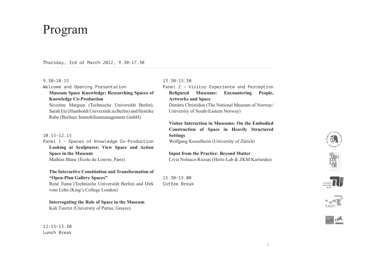#### 3

# Program

#### Thursday, 3rd of March 2022, 9.30–17.30

#### 9.30–10.15

Welcome and Opening Presentation

## **Museum Space Knowledge: Researching Spaces of Knowledge Co-Production**

Séverine Marguin (Technische Universität Berlin), Sarah Etz (Humboldt Universität zu Berlin) and Henrike Rabe (Berliner Immobilienmanagement GmbH)

#### 10.15–12.15

Panel 1 – Spaces of Knowledge Co-Production **Looking at Sculptures: View Space and Action Space in the Museum** Mathias Blanc (École du Louvre, Paris)

#### **The Interactive Constitution and Transformation of "Open-Plan Gallery Spaces"** René Tuma (Technische Universität Berlin) and Dirk

vom Lehn (King's College London)

#### **Interrogating the Role of Space in the Museum**

Kali Tzortzi (University of Patras, Greece)

#### 12.15–13.30 Lunch Break

### 13.30-15.30

# Panel 2 – Visitor Experience and Perception Refigured Museums: Encountering People, **Artworks and Space**

Dimitra Christidou (The National Museum of Norway/ University of South-Eastern Norway)

# **Visitor Interaction in Museums: On the Embodied Construction of Space in Heavily Structured Settings**

Wolfgang Kesselheim (University of Zürich)

## **Input from the Practice: Beyond Matter**  Lívia Nolasco-Rózsás (Hertz-Lab & ZKM Karlsruhe)

15.30–15.00 Coffee Break









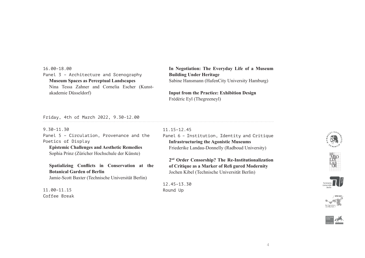16.00–18.00 Panel 3 – Architecture and Scenography **Museum Spaces as Perceptual Landscapes** Nina Tessa Zahner and Cornelia Escher (Kunstakademie Düsseldorf)

**In Negotiation: The Everyday Life of a Museum Building Under Heritage** Sabine Hansmann (HafenCity University Hamburg)

**Input from the Practice: Exhibition Design**  Frédéric Eyl (Thegreeneyl)

Friday, 4th of March 2022, 9.30-12.00

9.30-11.30 Panel 5 – Circulation, Provenance and the Poetics of Display **Epistemic Challenges and Aesthetic Remedies**

Sophia Prinz (Züricher Hochschule der Künste)

Spatializing Conflicts in Conservation at the **Botanical Garden of Berlin** Jamie-Scott Baxter (Technische Universität Berlin)

11.00–11.15 Coffee Break

#### 11.15–12.45

Panel 6 – Institution, Identity and Critique **Infrastructuring the Agonistic Museums**  Friederike Landau-Donnelly (Radboud University)

**2 nd Order Censorship? The Re-Institutionalization of Critique as a Marker of Refi gured Modernity**  Jochen Kibel (Technische Universität Berlin)

12.45–13.30 Round Up







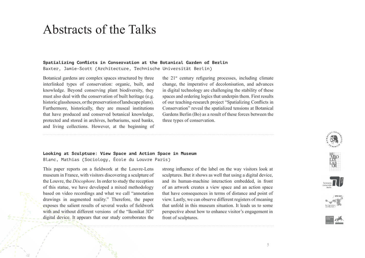#### 5

# Abstracts of the Talks

#### Spatializing Conflicts in Conservation at the Botanical Garden of Berlin

Baxter, Jamie-Scott (Architecture, Technische Universität Berlin)

Botanical gardens are complex spaces structured by three interlinked types of conservation: organic, built, and knowledge. Beyond conserving plant biodiversity, they must also deal with the conservation of built heritage (e.g. historic glasshouses, or the preservation of landscape plans). Furthermore, historically, they are museal institutions that have produced and conserved botanical knowledge, protected and stored in archives, herbariums, seed banks, and living collections. However, at the beginning of the  $21^{st}$  century refiguring processes, including climate change, the imperative of decolonisation, and advances in digital technology are challenging the stability of these spaces and ordering logics that underpin them. First results of our teaching-research project "Spatializing Conflicts in Conservation" reveal the spatialized tensions at Botanical Gardens Berlin (Bo) as a result of these forces between the three types of conservation.

#### **Looking at Sculpture: View Space and Action Space in Museum** Blanc, Mathias (Sociology, École du Louvre Paris)

This paper reports on a fieldwork at the Louvre-Lens museum in France, with visitors discovering a sculpture of the Louvre, the *Discophore*. In order to study the reception of this statue, we have developed a mixed methodology based on video recordings and what we call "annotation drawings in augmented reality." Therefore, the paper exposes the salient results of several weeks of fieldwork with and without different versions of the "Ikonikat 3D" digital device. It appears that our study corroborates the strong influence of the label on the way visitors look at sculptures. But it shows as well that using a digital device, and its human-machine interaction embedded, in front of an artwork creates a view space and an action space that have consequences in terms of distance and point of view. Lastly, we can observe different registers of meaning that unfold in this museum situation. It leads us to some perspective about how to enhance visitor's engagement in front of sculptures.









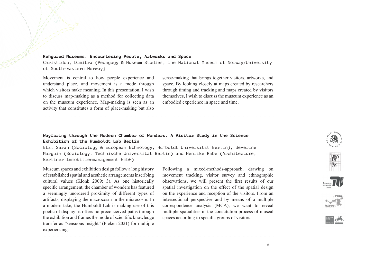#### Refigured Museums: Encountering People, Artworks and Space

Christidou, Dimitra (Pedagogy & Museum Studies, The National Museum of Norway/University of South-Eastern Norway)

Movement is central to how people experience and understand place, and movement is a mode through which visitors make meaning. In this presentation, I wish to discuss map-making as a method for collecting data on the museum experience. Map-making is seen as an activity that constitutes a form of place-making but also

sense-making that brings together visitors, artworks, and space. By looking closely at maps created by researchers through timing and tracking and maps created by visitors themselves, I wish to discuss the museum experience as an embodied experience in space and time.

#### **Wayfaring through the Modern Chamber of Wonders. A Visitor Study in the Science Exhibition of the Humboldt Lab Berlin**

Etz, Sarah (Sociology & European Ethnology, Humboldt Universität Berlin), Séverine Marguin (Sociology, Technische Universität Berlin) and Henrike Rabe (Architecture, Berliner Immobilienmanagement GmbH)

Museum spaces and exhibition design follow a long history of established spatial and aesthetic arrangements inscribing cultural values (Klonk 2009: 3). As one historically specific arrangement, the chamber of wonders has featured a seemingly unordered proximity of different types of artifacts, displaying the macrocosm in the microcosm. In a modern take, the Humboldt Lab is making use of this poetic of display: it offers no preconceived paths through the exhibition and frames the mode of scientific knowledge transfer as "sensuous insight" (Pieken 2021) for multiple experiencing.

Following a mixed-methods-approach, drawing on movement tracking, visitor survey and ethnographic observations, we will present the first results of our spatial investigation on the effect of the spatial design on the experience and reception of the visitors. From an intersectional perspective and by means of a multiple correspondence analysis (MCA), we want to reveal multiple spatialities in the constitution process of museal spaces according to specific groups of visitors.









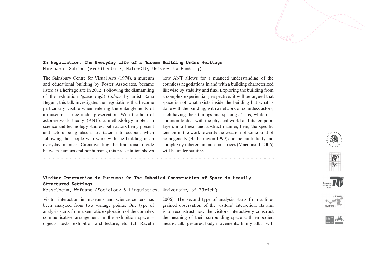#### **In Negotiation: The Everyday Life of a Museum Building Under Heritage** Hansmann, Sabine (Architecture, HafenCity University Hamburg)

The Sainsbury Centre for Visual Arts (1978), a museum and educational building by Foster Associates, became listed as a heritage site in 2012. Following the dismantling of the exhibition *Space Light Colour* by artist Rana Begum, this talk investigates the negotiations that become particularly visible when entering the entanglements of a museum's space under preservation. With the help of actor-network theory (ANT), a methodology rooted in science and technology studies, both actors being present and actors being absent are taken into account when following the people who work with the building in an everyday manner. Circumventing the traditional divide between humans and nonhumans, this presentation shows

how ANT allows for a nuanced understanding of the countless negotiations in and with a building characterized likewise by stability and flux. Exploring the building from a complex experiential perspective, it will be argued that space is not what exists inside the building but what is done with the building, with a network of countless actors, each having their timings and spacings. Thus, while it is common to deal with the physical world and its temporal layers in a linear and abstract manner, here, the specific tension in the work towards the creation of some kind of homogeneity (Hetherington 1999) and the multiplicity and complexity inherent in museum spaces (Macdonald, 2006) will be under scrutiny.

# **Visitor Interaction in Museums: On The Embodied Construction of Space in Heavily Structured Settings**

Kesselheim, Wofgang (Sociology & Linguistics, University of Zürich)

Visitor interaction in museums and science centers has been analyzed from two vantage points. One type of analysis starts from a semiotic exploration of the complex communicative arrangement in the exhibition space – objects, texts, exhibition architecture, etc. (cf. Ravelli

 $2006$ ). The second type of analysis starts from a finegrained observation of the visitors' interaction. Its aim is to reconstruct how the visitors interactively construct the meaning of their surrounding space with embodied means: talk, gestures, body movements. In my talk, I will









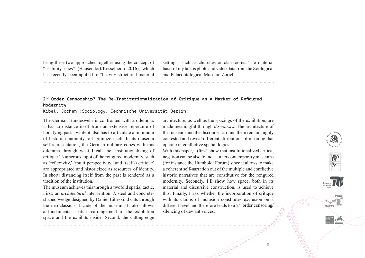bring these two approaches together using the concept of "usability cues" (Hausendorf/Kesselheim 2016), which has recently been applied to "heavily structured material

settings" such as churches or classrooms. The material basis of my talk is photo and video data from the Zoological and Palaeontological Museum Zurich.

# 2<sup>nd</sup> Order Censorship? The Re-Institutionalization of Critique as a Marker of Refigured **Modernity**

Kibel, Jochen (Sociology, Technische Universität Berlin)

The German Bundeswehr is confronted with a dilemma: it has to distance itself from an extensive repertoire of horrifying pasts, while it also has to articulate a minimum of historic continuity to legitimize itself. In its museum self-representation, the German military copes with this dilemma through what I call the 'institutionalizing of critique.' Numerous topoi of the refigured modernity, such as 'reflexivity,' 'multi perspectivity,' and '(self-) critique' are appropriated and historicized as resources of identity. In short: distancing itself from the past is rendered as a tradition of the institution.

The museum achieves this through a twofold spatial tactic. First: an *architectural* intervention. A steel and concreteshaped wedge designed by Daniel Libeskind cuts through the neo-classicist façade of the museum. It also allows a fundamental spatial rearrangement of the exhibition space and the exhibits inside. Second: the cutting-edge architecture, as well as the spacings of the exhibition, are made meaningful through *discourses*. The architecture of the museum and the discourses around them remain highly contested and reveal different attributions of meaning that operate in conflictive spatial logics.

With this paper, I (first) show that institutionalized critical negation can be also found at other contemporary museums (for instance the Humboldt Forum) since it allows to make a coherent self-narration out of the multiple and conflictive historic narratives that are constitutive for the refigured modernity. Secondly, I'll show how space, both in its material and discursive construction, is used to achieve this. Finally, I ask whether the incorporation of critique with its claims of inclusion constitutes exclusion on a different level and therefore leads to a  $2<sup>nd</sup>$  order censoring/ silencing of deviant voices.





8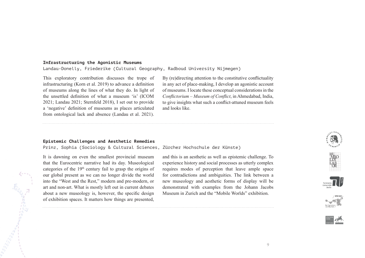#### **Infrastructuring the Agonistic Museums**

Landau-Donelly, Friederike (Cultural Geography, Radboud University Nijmegen)

This exploratory contribution discusses the trope of infrastructuring (Korn et al.  $2019$ ) to advance a definition of museums along the lines of what they do. In light of the unsettled definition of what a museum 'is' (ICOM 2021; Landau 2021; Sternfeld 2018), I set out to provide a 'negative' definition of museums as places articulated from ontological lack and absence (Landau et al. 2021).

By (re)directing attention to the constitutive conflictuality in any act of place-making, I develop an agonistic account of museums. I locate these conceptual considerations in the *Confl ictorium – Museum of Confl ict*, in Ahmedabad, India, to give insights what such a conflict-attuned museum feels and looks like.

#### **Epistemic Challenges and Aesthetic Remedies**

Prinz, Sophia (Sociology & Cultural Sciences, Zürcher Hochschule der Künste)

It is dawning on even the smallest provincial museum that the Eurocentric narrative had its day. Museological categories of the  $19<sup>th</sup>$  century fail to grasp the origins of our global present as we can no longer divide the world into the "West and the Rest," modern and pre-modern, or art and non-art. What is mostly left out in current debates about a new museology is, however, the specific design of exhibition spaces. It matters how things are presented,

**Contraction** 

and this is an aesthetic as well as epistemic challenge. To experience history and social processes as utterly complex requires modes of perception that leave ample space for contradictions and ambiguities. The link between a new museology and aesthetic forms of display will be demonstrated with examples from the Johann Jacobs Museum in Zurich and the "Mobile Worlds" exhibition.







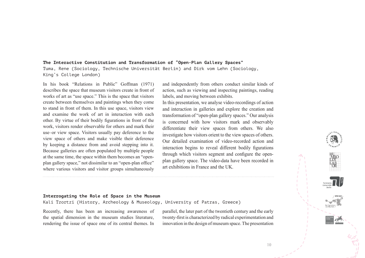#### **The Interactive Constitution and Transformation of "Open-Plan Gallery Spaces"**

Tuma, Rene (Sociology, Technische Universität Berlin) and Dirk vom Lehn (Sociology, King's College London)

In his book "Relations in Public" Goffman (1971) describes the space that museum visitors create in front of works of art as "use space." This is the space that visitors create between themselves and paintings when they come to stand in front of them. In this use space, visitors view and examine the work of art in interaction with each other. By virtue of their bodily figurations in front of the work, visitors render observable for others and mark their use–or view space. Visitors usually pay deference to the view space of others and make visible their deference by keeping a distance from and avoid stepping into it. Because galleries are often populated by multiple people at the same time, the space within them becomes an "openplan gallery space," not dissimilar to an "open-plan office" where various visitors and visitor groups simultaneously

and independently from others conduct similar kinds of action, such as viewing and inspecting paintings, reading labels, and moving between exhibits.

In this presentation, we analyse video-recordings of action and interaction in galleries and explore the creation and transformation of "open-plan gallery spaces." Our analysis is concerned with how visitors mark and observably differentiate their view spaces from others. We also investigate how visitors orient to the view spaces of others. Our detailed examination of video-recorded action and interaction begins to reveal different bodily figurations through which visitors segment and configure the openplan gallery space. The video-data have been recorded in art exhibitions in France and the UK.

#### **Interrogating the Role of Space in the Museum**

Kali Tzortzi (History, Archeology & Museology, University of Patras, Greece)

Recently, there has been an increasing awareness of the spatial dimension in the museum studies literature, rendering the issue of space one of its central themes. In

parallel, the later part of the twentieth century and the early twenty-first is characterized by radical experimentation and innovation in the design of museum space. The presentation